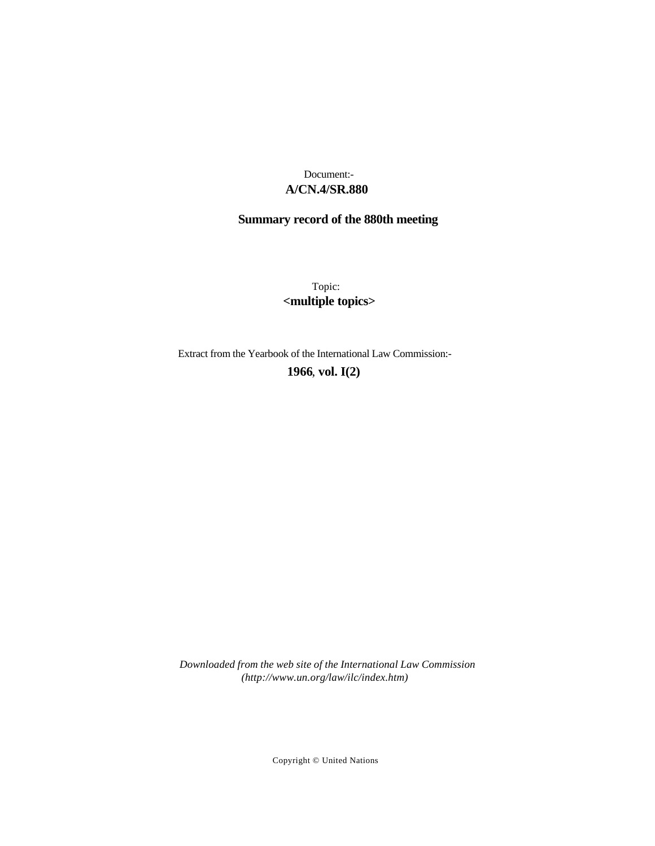# **A/CN.4/SR.880** Document:-

# **Summary record of the 880th meeting**

Topic: **<multiple topics>**

Extract from the Yearbook of the International Law Commission:-

**1966** , **vol. I(2)**

*Downloaded from the web site of the International Law Commission (http://www.un.org/law/ilc/index.htm)*

Copyright © United Nations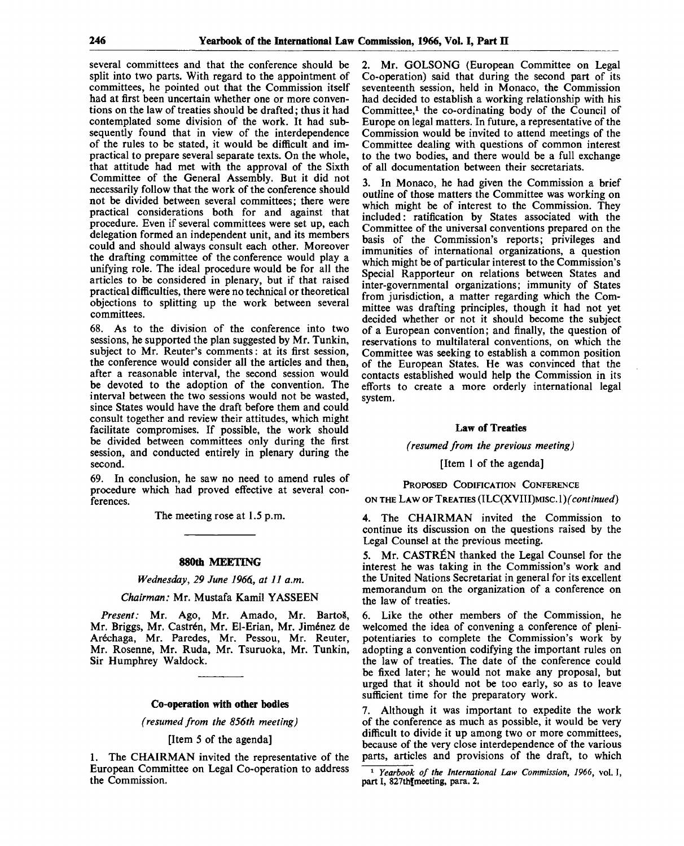several committees and that the conference should be split into two parts. With regard to the appointment of committees, he pointed out that the Commission itself had at first been uncertain whether one or more conventions on the law of treaties should be drafted; thus it had contemplated some division of the work. It had subsequently found that in view of the interdependence of the rules to be stated, it would be difficult and impractical to prepare several separate texts. On the whole, that attitude had met with the approval of the Sixth Committee of the General Assembly. But it did not necessarily follow that the work of the conference should not be divided between several committees; there were practical considerations both for and against that procedure. Even if several committees were set up, each delegation formed an independent unit, and its members could and should always consult each other. Moreover the drafting committee of the conference would play a unifying role. The ideal procedure would be for all the articles to be considered in plenary, but if that raised practical difficulties, there were no technical or theoretical objections to splitting up the work between several committees.

68. As to the division of the conference into two sessions, he supported the plan suggested by Mr. Tunkin, subject to Mr. Reuter's comments: at its first session, the conference would consider all the articles and then, after a reasonable interval, the second session would be devoted to the adoption of the convention. The interval between the two sessions would not be wasted, since States would have the draft before them and could consult together and review their attitudes, which might facilitate compromises. If possible, the work should be divided between committees only during the first session, and conducted entirely in plenary during the second.

69. In conclusion, he saw no need to amend rules of procedure which had proved effective at several conferences.

The meeting rose at 1.5 p.m.

#### **880th MEETING**

*Wednesday, 29 June 1966., at 11 a.m.*

*Chairman:* Mr. Mustafa Kamil YASSEEN

Present: Mr. Ago, Mr. Amado, Mr. Bartoš, Mr. Briggs, Mr. Castrén, Mr. El-Erian, Mr. Jiménez de Aréchaga, Mr. Paredes, Mr. Pessou, Mr. Reuter, Mr. Rosenne, Mr. Ruda, Mr. Tsuruoka, Mr. Tunkin, Sir Humphrey Waldock.

#### **Co-operation with other bodies**

*(resumed from the 856th meeting)*

[Item 5 of the agenda]

1. The CHAIRMAN invited the representative of the European Committee on Legal Co-operation to address the Commission.

2. Mr. GOLSONG (European Committee on Legal Co-operation) said that during the second part of its seventeenth session, held in Monaco, the Commission had decided to establish a working relationship with his Committee, $<sup>1</sup>$  the co-ordinating body of the Council of</sup> Europe on legal matters. In future, a representative of the Commission would be invited to attend meetings of the Committee dealing with questions of common interest to the two bodies, and there would be a full exchange of all documentation between their secretariats.

3. In Monaco, he had given the Commission a brief outline of those matters the Committee was working on which might be of interest to the Commission. They included: ratification by States associated with the Committee of the universal conventions prepared on the basis of the Commission's reports; privileges and immunities of international organizations, a question which might be of particular interest to the Commission's Special Rapporteur on relations between States and inter-governmental organizations; immunity of States from jurisdiction, a matter regarding which the Committee was drafting principles, though it had not yet decided whether or not it should become the subject of a European convention; and finally, the question of reservations to multilateral conventions, on which the Committee was seeking to establish a common position of the European States. He was convinced that the contacts established would help the Commission in its efforts to create a more orderly international legal system.

### **Law** of **Treaties**

*(resumed from the previous meeting)*

[Item 1 of the agenda]

## PROPOSED CODIFICATION CONFERENCE

ON THE LAW OF TREATIES (ILC(XVHI)MISC. *\)(continued)*

4. The CHAIRMAN invited the Commission to continue its discussion on the questions raised by the Legal Counsel at the previous meeting.

5. Mr. CASTREN thanked the Legal Counsel for the interest he was taking in the Commission's work and the United Nations Secretariat in general for its excellent memorandum on the organization of a conference on the law of treaties.

6. Like the other members of the Commission, he welcomed the idea of convening a conference of plenipotentiaries to complete the Commission's work by adopting a convention codifying the important rules on the law of treaties. The date of the conference could be fixed later; he would not make any proposal, but urged that it should not be too early, so as to leave sufficient time for the preparatory work.

Although it was important to expedite the work of the conference as much as possible, it would be very difficult to divide it up among two or more committees, because of the very close interdependence of the various parts, articles and provisions of the draft, to which

1  *Yearbook of the International Law Commission, 1966,* vol. I, part I, 827th[meeting, para. 2.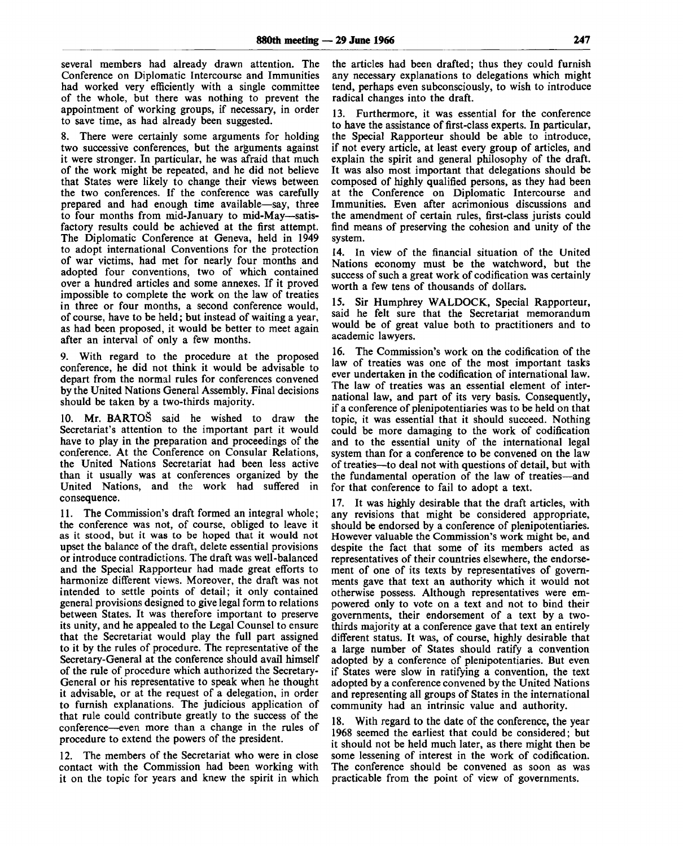several members had already drawn attention. The Conference on Diplomatic Intercourse and Immunities had worked very efficiently with a single committee of the whole, but there was nothing to prevent the appointment of working groups, if necessary, in order to save time, as had already been suggested.

8. There were certainly some arguments for holding two successive conferences, but the arguments against it were stronger. In particular, he was afraid that much of the work might be repeated, and he did not believe that States were likely to change their views between the two conferences. If the conference was carefully prepared and had enough time available—say, three to four months from mid-January to mid-May—satisfactory results could be achieved at the first attempt. The Diplomatic Conference at Geneva, held in 1949 to adopt international Conventions for the protection of war victims, had met for nearly four months and adopted four conventions, two of which contained over a hundred articles and some annexes. If it proved impossible to complete the work on the law of treaties in three or four months, a second conference would, of course, have to be held; but instead of waiting a year, as had been proposed, it would be better to meet again after an interval of only a few months.

9. With regard to the procedure at the proposed conference, he did not think it would be advisable to depart from the normal rules for conferences convened by the United Nations General Assembly. Final decisions should be taken by a two-thirds majority.

10. Mr. BARTOS said he wished to draw the Secretariat's attention to the important part it would have to play in the preparation and proceedings of the conference. At the Conference on Consular Relations, the United Nations Secretariat had been less active than it usually was at conferences organized by the United Nations, and the work had suffered in consequence.

11. The Commission's draft formed an integral whole; the conference was not, of course, obliged to leave it as it stood, but it was to be hoped that it would not upset the balance of the draft, delete essential provisions or introduce contradictions. The draft was well-balanced and the Special Rapporteur had made great efforts to harmonize different views. Moreover, the draft was not intended to settle points of detail; it only contained general provisions designed to give legal form to relations between States. It was therefore important to preserve its unity, and he appealed to the Legal Counsel to ensure that the Secretariat would play the full part assigned to it by the rules of procedure. The representative of the Secretary-General at the conference should avail himself of the rule of procedure which authorized the Secretary-General or his representative to speak when he thought it advisable, or at the request of a delegation, in order to furnish explanations. The judicious application of that rule could contribute greatly to the success of the conference—even more than a change in the rules of procedure to extend the powers of the president.

12. The members of the Secretariat who were in close contact with the Commission had been working with it on the topic for years and knew the spirit in which the articles had been drafted; thus they could furnish any necessary explanations to delegations which might tend, perhaps even subconsciously, to wish to introduce radical changes into the draft.

13. Furthermore, it was essential for the conference to have the assistance of first-class experts. In particular, the Special Rapporteur should be able to introduce, if not every article, at least every group of articles, and explain the spirit and general philosophy of the draft. It was also most important that delegations should be composed of highly qualified persons, as they had been at the Conference on Diplomatic Intercourse and Immunities. Even after acrimonious discussions and the amendment of certain rules, first-class jurists could find means of preserving the cohesion and unity of the system.

14. In view of the financial situation of the United Nations economy must be the watchword, but the success of such a great work of codification was certainly worth a few tens of thousands of dollars.

15. Sir Humphrey WALDOCK, Special Rapporteur, said he felt sure that the Secretariat memorandum would be of great value both to practitioners and to academic lawyers.

16. The Commission's work on the codification of the law of treaties was one of the most important tasks ever undertaken in the codification of international law. The law of treaties was an essential element of international law, and part of its very basis. Consequently, if a conference of plenipotentiaries was to be held on that topic, it was essential that it should succeed. Nothing could be more damaging to the work of codification and to the essential unity of the international legal system than for a conference to be convened on the law of treaties—to deal not with questions of detail, but with the fundamental operation of the law of treaties—and for that conference to fail to adopt a text.

17. It was highly desirable that the draft articles, with any revisions that might be considered appropriate, should be endorsed by a conference of plenipotentiaries. However valuable the Commission's work might be, and despite the fact that some of its members acted as representatives of their countries elsewhere, the endorsement of one of its texts by representatives of governments gave that text an authority which it would not otherwise possess. Although representatives were empowered only to vote on a text and not to bind their governments, their endorsement of a text by a twothirds majority at a conference gave that text an entirely different status. It was, of course, highly desirable that a large number of States should ratify a convention adopted by a conference of plenipotentiaries. But even if States were slow in ratifying a convention, the text adopted by a conference convened by the United Nations and representing all groups of States in the international community had an intrinsic value and authority.

18. With regard to the date of the conference, the year 1968 seemed the earliest that could be considered; but it should not be held much later, as there might then be some lessening of interest in the work of codification. The conference should be convened as soon as was practicable from the point of view of governments.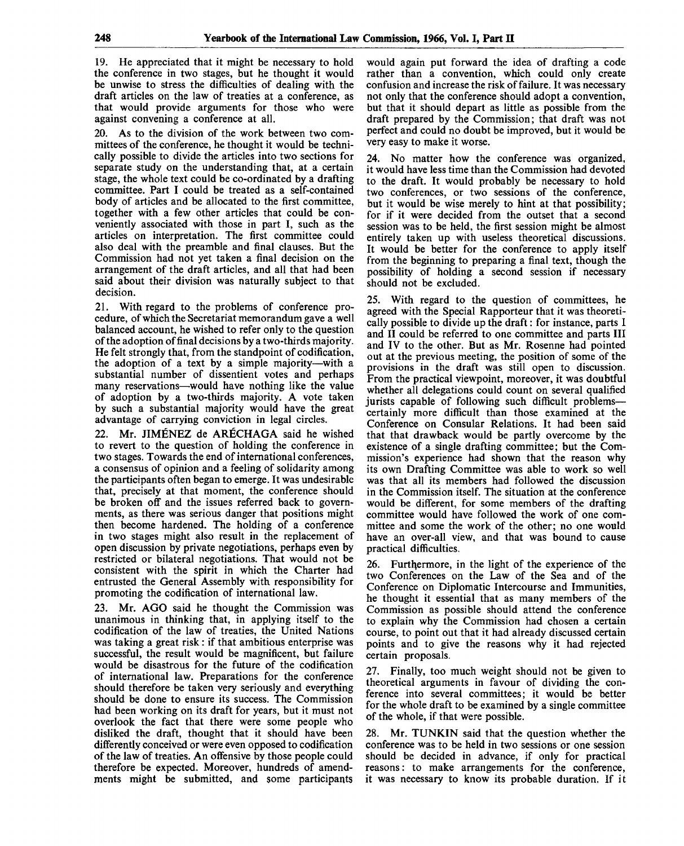19. He appreciated that it might be necessary to hold the conference in two stages, but he thought it would be unwise to stress the difficulties of dealing with the draft articles on the law of treaties at a conference, as that would provide arguments for those who were against convening a conference at all.

20. As to the division of the work between two committees of the conference, he thought it would be technically possible to divide the articles into two sections for separate study on the understanding that, at a certain stage, the whole text could be co-ordinated by a drafting committee. Part I could be treated as a self-contained body of articles and be allocated to the first committee, together with a few other articles that could be conveniently associated with those in part I, such as the articles on interpretation. The first committee could also deal with the preamble and final clauses. But the Commission had not yet taken a final decision on the arrangement of the draft articles, and all that had been said about their division was naturally subject to that decision.

21. With regard to the problems of conference procedure, of which the Secretariat memorandum gave a well balanced account, he wished to refer only to the question of the adoption of final decisions by a two-thirds majority. He felt strongly that, from the standpoint of codification, the adoption of a text by a simple majority—with a substantial number of dissentient votes and perhaps many reservations—would have nothing like the value of adoption by a two-thirds majority. A vote taken by such a substantial majority would have the great advantage of carrying conviction in legal circles.

22. Mr. JIMENEZ de ARECHAGA said he wished to revert to the question of holding the conference in two stages. Towards the end of international conferences, a consensus of opinion and a feeling of solidarity among the participants often began to emerge. It was undesirable that, precisely at that moment, the conference should be broken off and the issues referred back to governments, as there was serious danger that positions might then become hardened. The holding of a conference in two stages might also result in the replacement of open discussion by private negotiations, perhaps even by restricted or bilateral negotiations. That would not be consistent with the spirit in which the Charter had entrusted the General Assembly with responsibility for promoting the codification of international law.

23. Mr. AGO said he thought the Commission was unanimous in thinking that, in applying itself to the codification of the law of treaties, the United Nations was taking a great risk: if that ambitious enterprise was successful, the result would be magnificent, but failure would be disastrous for the future of the codification of international law. Preparations for the conference should therefore be taken very seriously and everything should be done to ensure its success. The Commission had been working on its draft for years, but it must not overlook the fact that there were some people who disliked the draft, thought that it should have been differently conceived or were even opposed to codification of the law of treaties. An offensive by those people could therefore be expected. Moreover, hundreds of amendments might be submitted, and some participants

would again put forward the idea of drafting a code rather than a convention, which could only create confusion and increase the risk of failure. It was necessary not only that the conference should adopt a convention, but that it should depart as little as possible from the draft prepared by the Commission; that draft was not perfect and could no doubt be improved, but it would be very easy to make it worse.

24. No matter how the conference was organized, it would have less time than the Commission had devoted to the draft. It would probably be necessary to hold two conferences, or two sessions of the conference, but it would be wise merely to hint at that possibility; for if it were decided from the outset that a second session was to be held, the first session might be almost entirely taken up with useless theoretical discussions. It would be better for the conference to apply itself from the beginning to preparing a final text, though the possibility of holding a second session if necessary should not be excluded.

25. With regard to the question of committees, he agreed with the Special Rapporteur that it was theoretically possible to divide up the draft: for instance, parts 1 and II could be referred to one committee and parts III and IV to the other. But as Mr. Rosenne had pointed out at the previous meeting, the position of some of the provisions in the draft was still open to discussion. From the practical viewpoint, moreover, it was doubtful whether all delegations could count on several qualified jurists capable of following such difficult problems certainly more difficult than those examined at the Conference on Consular Relations. It had been said that that drawback would be partly overcome by the existence of a single drafting committee; but the Commission's experience had shown that the reason why its own Drafting Committee was able to work so well was that all its members had followed the discussion in the Commission itself. The situation at the conference would be different, for some members of the drafting committee would have followed the work of one committee and some the work of the other; no one would have an over-all view, and that was bound to cause practical difficulties.

26. Furthermore, in the light of the experience of the two Conferences on the Law of the Sea and of the Conference on Diplomatic Intercourse and Immunities, he thought it essential that as many members of the Commission as possible should attend the conference to explain why the Commission had chosen a certain course, to point out that it had already discussed certain points and to give the reasons why it had rejected certain proposals.

27. Finally, too much weight should not be given to theoretical arguments in favour of dividing the conference into several committees; it would be better for the whole draft to be examined by a single committee of the whole, if that were possible.

28. Mr. TUNKIN said that the question whether the conference was to be held in two sessions or one session should be decided in advance, if only for practical reasons: to make arrangements for the conference, it was necessary to know its probable duration. If it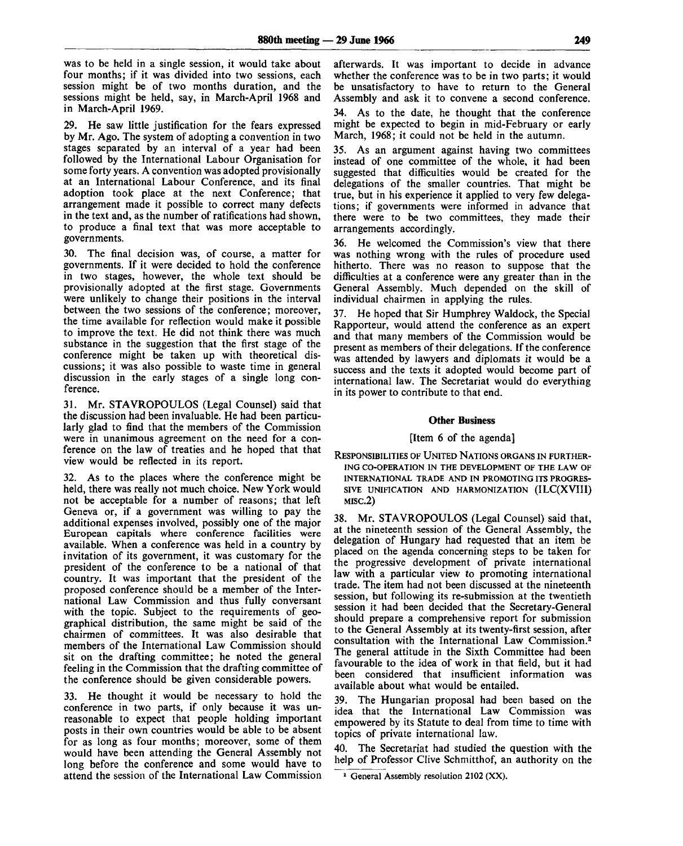was to be held in a single session, it would take about four months; if it was divided into two sessions, each session might be of two months duration, and the sessions might be held, say, in March-April 1968 and in March-April 1969.

29. He saw little justification for the fears expressed by Mr. Ago. The system of adopting a convention in two stages separated by an interval of a year had been followed by the International Labour Organisation for some forty years. A convention was adopted provisionally at an International Labour Conference, and its final adoption took place at the next Conference; that arrangement made it possible to correct many defects in the text and, as the number of ratifications had shown, to produce a final text that was more acceptable to governments.

30. The final decision was, of course, a matter for governments. If it were decided to hold the conference in two stages, however, the whole text should be provisionally adopted at the first stage. Governments were unlikely to change their positions in the interval between the two sessions of the conference; moreover, the time available for reflection would make it possible to improve the text. He did not think there was much substance in the suggestion that the first stage of the conference might be taken up with theoretical discussions; it was also possible to waste time in general discussion in the early stages of a single long conference.

31. Mr. STAVROPOULOS (Legal Counsel) said that the discussion had been invaluable. He had been particularly glad to find that the members of the Commission were in unanimous agreement on the need for a conference on the law of treaties and he hoped that that view would be reflected in its report.

32. As to the places where the conference might be held, there was really not much choice. New York would not be acceptable for a number of reasons; that left Geneva or, if a government was willing to pay the additional expenses involved, possibly one of the major European capitals where conference facilities were available. When a conference was held in a country by invitation of its government, it was customary for the president of the conference to be a national of that country. It was important that the president of the proposed conference should be a member of the International Law Commission and thus fully conversant with the topic. Subject to the requirements of geographical distribution, the same might be said of the chairmen of committees. It was also desirable that members of the International Law Commission should sit on the drafting committee; he noted the general feeling in the Commission that the drafting committee of the conference should be given considerable powers.

33. He thought it would be necessary to hold the conference in two parts, if only because it was unreasonable to expect that people holding important posts in their own countries would be able to be absent for as long as four months; moreover, some of them would have been attending the General Assembly not long before the conference and some would have to attend the session of the International Law Commission afterwards. It was important to decide in advance whether the conference was to be in two parts; it would be unsatisfactory to have to return to the General Assembly and ask it to convene a second conference.

As to the date, he thought that the conference might be expected to begin in mid-February or early March, 1968; it could not be held in the autumn.

35. As an argument against having two committees instead of one committee of the whole, it had been suggested that difficulties would be created for the delegations of the smaller countries. That might be true, but in his experience it applied to very few delegations; if governments were informed in advance that there were to be two committees, they made their arrangements accordingly.

36. He welcomed the Commission's view that there was nothing wrong with the rules of procedure used hitherto. There was no reason to suppose that the difficulties at a conference were any greater than in the General Assembly. Much depended on the skill of individual chairmen in applying the rules.

37. He hoped that Sir Humphrey Waldock, the Special Rapporteur, would attend the conference as an expert and that many members of the Commission would be present as members of their delegations. If the conference was attended by lawyers and diplomats it would be a success and the texts it adopted would become part of international law. The Secretariat would do everything in its power to contribute to that end.

#### **Other Business**

#### [Item 6 of the agenda]

RESPONSIBILITIES OF UNITED NATIONS ORGANS IN FURTHER-ING CO-OPERATION IN THE DEVELOPMENT OF THE LAW OF **INTERNATIONAL TRADE AND IN PROMOTING ITS PROGRES-SIVE UNIFICATION AND HARMONIZATION (ILC(XVIIl) MISC.2)**

38. Mr. STAVROPOULOS (Legal Counsel) said that, at the nineteenth session of the General Assembly, the delegation of Hungary had requested that an item be placed on the agenda concerning steps to be taken for the progressive development of private international law with a particular view to promoting international trade. The item had not been discussed at the nineteenth session, but following its re-submission at the twentieth session it had been decided that the Secretary-General should prepare a comprehensive report for submission to the General Assembly at its twenty-first session, after consultation with the International Law Commission.<sup>2</sup> The general attitude in the Sixth Committee had been favourable to the idea of work in that field, but it had been considered that insufficient information was available about what would be entailed.

39. The Hungarian proposal had been based on the idea that the International Law Commission was empowered by its Statute to deal from time to time with topics of private international law.

40. The Secretariat had studied the question with the help of Professor Clive Schmitthof, an authority on the

<sup>&</sup>lt;sup>2</sup> General Assembly resolution 2102 (XX).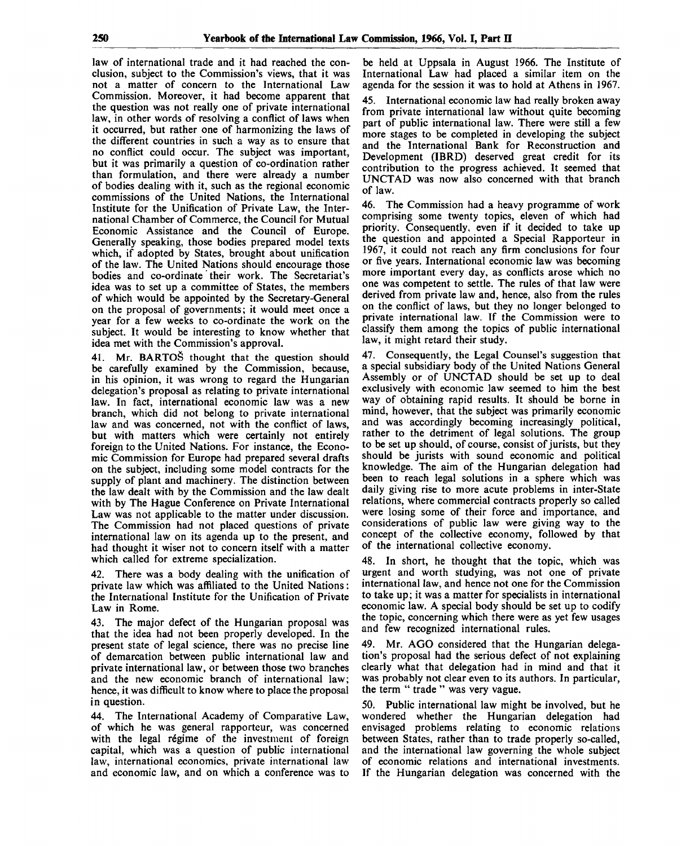law of international trade and it had reached the conclusion, subject to the Commission's views, that it was not a matter of concern to the International Law Commission. Moreover, it had become apparent that the question was not really one of private international law, in other words of resolving a conflict of laws when it occurred, but rather one of harmonizing the laws of the different countries in such a way as to ensure that no conflict could occur. The subject was important, but it was primarily a question of co-ordination rather than formulation, and there were already a number of bodies dealing with it, such as the regional economic commissions of the United Nations, the International Institute for the Unification of Private Law, the International Chamber of Commerce, the Council for Mutual Economic Assistance and the Council of Europe. Generally speaking, those bodies prepared model texts which, if adopted by States, brought about unification of the law. The United Nations should encourage those bodies and co-ordinate their work. The Secretariat's idea was to set up a committee of States, the members of which would be appointed by the Secretary-General on the proposal of governments; it would meet once a year for a few weeks to co-ordinate the work on the subject. It would be interesting to know whether that idea met with the Commission's approval.

41. Mr. BARTOS thought that the question should be carefully examined by the Commission, because, in his opinion, it was wrong to regard the Hungarian delegation's proposal as relating to private international law. In fact, international economic law was a new branch, which did not belong to private international law and was concerned, not with the conflict of laws, but with matters which were certainly not entirely foreign to the United Nations. For instance, the Economic Commission for Europe had prepared several drafts on the subject, including some model contracts for the supply of plant and machinery. The distinction between the law dealt with by the Commission and the law dealt with by The Hague Conference on Private International Law was not applicable to the matter under discussion. The Commission had not placed questions of private international law on its agenda up to the present, and had thought it wiser not to concern itself with a matter which called for extreme specialization.

42. There was a body dealing with the unification of private law which was affiliated to the United Nations: the International Institute for the Unification of Private Law in Rome.

43. The major defect of the Hungarian proposal was that the idea had not been properly developed. In the present state of legal science, there was no precise line of demarcation between public international law and private international law, or between those two branches and the new economic branch of international law; hence, it was difficult to know where to place the proposal in question.

44. The International Academy of Comparative Law, of which he was general rapporteur, was concerned with the legal régime of the investment of foreign capital, which was a question of public international law, international economics, private international law and economic law, and on which a conference was to be held at Uppsala in August 1966. The Institute of International Law had placed a similar item on the agenda for the session it was to hold at Athens in 1967.

45. International economic law had really broken away from private international law without quite becoming part of public international law. There were still a few more stages to be completed in developing the subject and the International Bank for Reconstruction and Development (IBRD) deserved great credit for its contribution to the progress achieved. It seemed that UNCTAD was now also concerned with that branch of law.

46. The Commission had a heavy programme of work comprising some twenty topics, eleven of which had priority. Consequently, even if it decided to take up the question and appointed a Special Rapporteur in 1967, it could not reach any firm conclusions for four or five years. International economic law was becoming more important every day, as conflicts arose which no one was competent to settle. The rules of that law were derived from private law and, hence, also from the rules on the conflict of laws, but they no longer belonged to private international law. If the Commission were to classify them among the topics of public international law, it might retard their study.

47. Consequently, the Legal Counsel's suggestion that a special subsidiary body of the United Nations General Assembly or of UNCTAD should be set up to deal exclusively with economic law seemed to him the best way of obtaining rapid results. It should be borne in mind, however, that the subject was primarily economic and was accordingly becoming increasingly political, rather to the detriment of legal solutions. The group to be set up should, of course, consist of jurists, but they should be jurists with sound economic and political knowledge. The aim of the Hungarian delegation had been to reach legal solutions in a sphere which was daily giving rise to more acute problems in inter-State relations, where commercial contracts properly so called were losing some of their force and importance, and considerations of public law were giving way to the concept of the collective economy, followed by that of the international collective economy.

48. In short, he thought that the topic, which was urgent and worth studying, was not one of private international law, and hence not one for the Commission to take up; it was a matter for specialists in international economic law. A special body should be set up to codify the topic, concerning which there were as yet few usages and few recognized international rules.

49. Mr. AGO considered that the Hungarian delegation's proposal had the serious defect of not explaining clearly what that delegation had in mind and that it was probably not clear even to its authors. In particular, the term " trade " was very vague.

50. Public international law might be involved, but he wondered whether the Hungarian delegation had envisaged problems relating to economic relations between States, rather than to trade properly so-called, and the international law governing the whole subject of economic relations and international investments. If the Hungarian delegation was concerned with the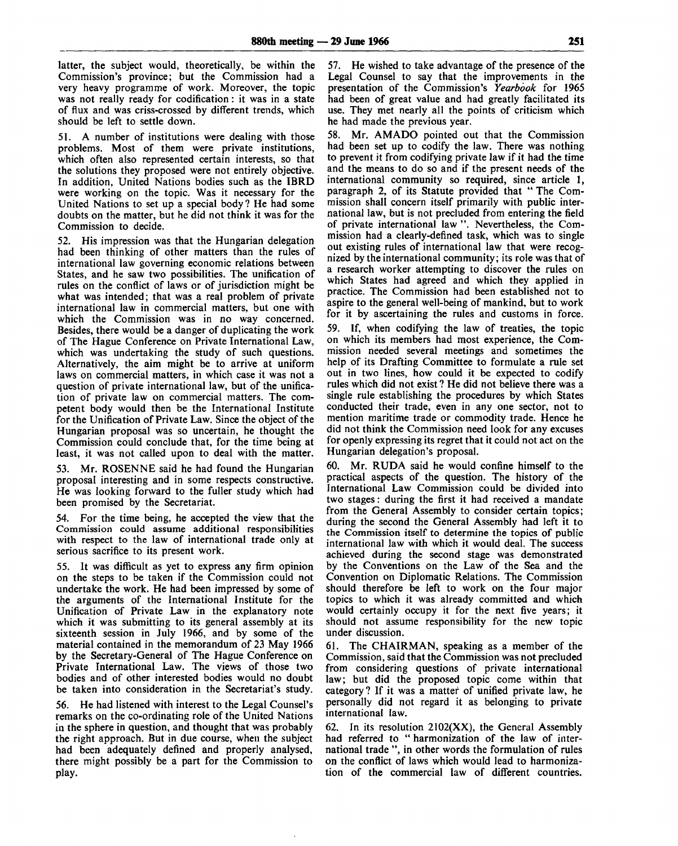latter, the subject would, theoretically, be within the Commission's province; but the Commission had a very heavy programme of work. Moreover, the topic was not really ready for codification: it was in a state of flux and was criss-crossed by different trends, which should be left to settle down.

51. A number of institutions were dealing with those problems. Most of them were private institutions, which often also represented certain interests, so that the solutions they proposed were not entirely objective. In addition, United Nations bodies such as the IBRD were working on the topic. Was it necessary for the United Nations to set up a special body ? He had some doubts on the matter, but he did not think it was for the Commission to decide.

52. His impression was that the Hungarian delegation had been thinking of other matters than the rules of international law governing economic relations between States, and he saw two possibilities. The unification of rules on the conflict of laws or of jurisdiction might be what was intended; that was a real problem of private international law in commercial matters, but one with which the Commission was in no way concerned. Besides, there would be a danger of duplicating the work of The Hague Conference on Private International Law, which was undertaking the study of such questions. Alternatively, the aim might be to arrive at uniform laws on commercial matters, in which case it was not a question of private international law, but of the unification of private law on commercial matters. The competent body would then be the International Institute for the Unification of Private Law. Since the object of the Hungarian proposal was so uncertain, he thought the Commission could conclude that, for the time being at least, it was not called upon to deal with the matter.

53. Mr. ROSENNE said he had found the Hungarian proposal interesting and in some respects constructive. He was looking forward to the fuller study which had been promised by the Secretariat.

54. For the time being, he accepted the view that the Commission could assume additional responsibilities with respect to the law of international trade only at serious sacrifice to its present work.

55. It was difficult as yet to express any firm opinion on the steps to be taken if the Commission could not undertake the work. He had been impressed by some of the arguments of the International Institute for the Unification of Private Law in the explanatory note which it was submitting to its general assembly at its sixteenth session in July 1966, and by some of the material contained in the memorandum of 23 May 1966 by the Secretary-General of The Hague Conference on Private International Law. The views of those two bodies and of other interested bodies would no doubt be taken into consideration in the Secretariat's study.

56. He had listened with interest to the Legal Counsel's remarks on the co-ordinating role of the United Nations in the sphere in question, and thought that was probably the right approach. But in due course, when the subject had been adequately defined and properly analysed, there might possibly be a part for the Commission to play.

57. He wished to take advantage of the presence of the Legal Counsel to say that the improvements in the presentation of the Commission's *Yearbook* for 1965 had been of great value and had greatly facilitated its use. They met nearly all the points of criticism which he had made the previous year.

58. Mr. AMADO pointed out that the Commission had been set up to codify the law. There was nothing to prevent it from codifying private law if it had the time and the means to do so and if the present needs of the international community so required, since article 1, paragraph 2, of its Statute provided that " The Commission shall concern itself primarily with public international law, but is not precluded from entering the field of private international law ". Nevertheless, the Commission had a clearly-defined task, which was to single out existing rules of international law that were recognized by the international community; its role was that of a research worker attempting to discover the rules on which States had agreed and which they applied in practice. The Commission had been established not to aspire to the general well-being of mankind, but to work for it by ascertaining the rules and customs in force.

59. If, when codifying the law of treaties, the topic on which its members had most experience, the Commission needed several meetings and sometimes the help of its Drafting Committee to formulate a rule set out in two lines, how could it be expected to codify rules which did not exist ? He did not believe there was a single rule establishing the procedures by which States conducted their trade, even in any one sector, not to mention maritime trade or commodity trade. Hence he did not think the Commission need look for any excuses for openly expressing its regret that it could not act on the Hungarian delegation's proposal.

60. Mr. RUDA said he would confine himself to the practical aspects of the question. The history of the International Law Commission could be divided into two stages: during the first it had received a mandate from the General Assembly to consider certain topics; during the second the General Assembly had left it to the Commission itself to determine the topics of public international law with which it would deal. The success achieved during the second stage was demonstrated by the Conventions on the Law of the Sea and the Convention on Diplomatic Relations. The Commission should therefore be left to work on the four major topics to which it was already committed and which would certainly occupy it for the next five years; it should not assume responsibility for the new topic under discussion.

61. The CHAIRMAN, speaking as a member of the Commission, said that the Commission was not precluded from considering questions of private international law; but did the proposed topic come within that category ? If it was a matter of unified private law, he personally did not regard it as belonging to private international law.

62. In its resolution 2102(XX), the General Assembly had referred to " harmonization of the law of international trade ", in other words the formulation of rules on the conflict of laws which would lead to harmonization of the commercial law of different countries.